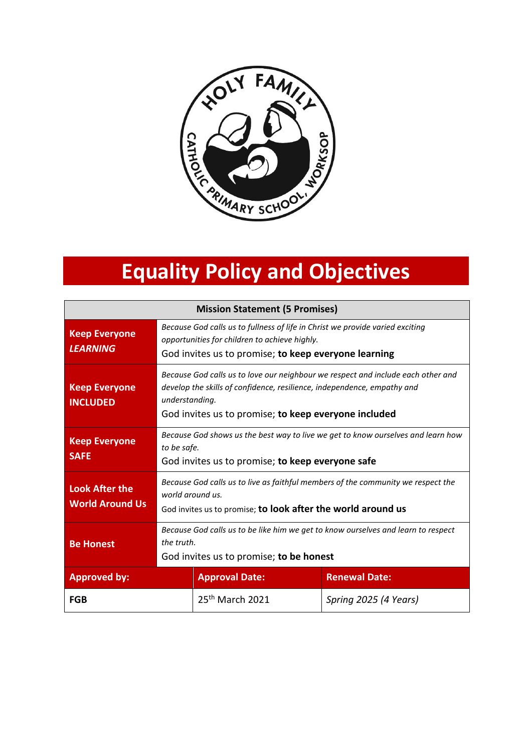

# **Equality Policy and Objectives**

| <b>Mission Statement (5 Promises)</b>           |                                                                                                                                                                                                                                       |                       |                       |  |
|-------------------------------------------------|---------------------------------------------------------------------------------------------------------------------------------------------------------------------------------------------------------------------------------------|-----------------------|-----------------------|--|
| <b>Keep Everyone</b><br><b>LEARNING</b>         | Because God calls us to fullness of life in Christ we provide varied exciting<br>opportunities for children to achieve highly.<br>God invites us to promise; to keep everyone learning                                                |                       |                       |  |
| <b>Keep Everyone</b><br><b>INCLUDED</b>         | Because God calls us to love our neighbour we respect and include each other and<br>develop the skills of confidence, resilience, independence, empathy and<br>understanding.<br>God invites us to promise; to keep everyone included |                       |                       |  |
| <b>Keep Everyone</b><br><b>SAFE</b>             | Because God shows us the best way to live we get to know ourselves and learn how<br>to be safe.<br>God invites us to promise; to keep everyone safe                                                                                   |                       |                       |  |
| <b>Look After the</b><br><b>World Around Us</b> | Because God calls us to live as faithful members of the community we respect the<br>world around us.<br>God invites us to promise; to look after the world around us                                                                  |                       |                       |  |
| <b>Be Honest</b>                                | Because God calls us to be like him we get to know ourselves and learn to respect<br>the truth.<br>God invites us to promise; to be honest                                                                                            |                       |                       |  |
| <b>Approved by:</b>                             |                                                                                                                                                                                                                                       | <b>Approval Date:</b> | <b>Renewal Date:</b>  |  |
| FGB                                             |                                                                                                                                                                                                                                       | $25th$ March 2021     | Spring 2025 (4 Years) |  |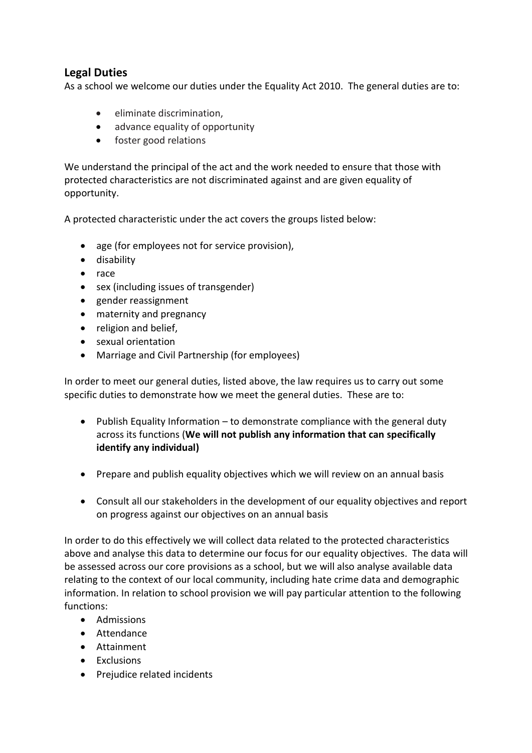# **Legal Duties**

As a school we welcome our duties under the Equality Act 2010. The general duties are to:

- eliminate discrimination,
- advance equality of opportunity
- foster good relations

We understand the principal of the act and the work needed to ensure that those with protected characteristics are not discriminated against and are given equality of opportunity.

A protected characteristic under the act covers the groups listed below:

- age (for employees not for service provision),
- **•** disability
- race
- sex (including issues of transgender)
- gender reassignment
- maternity and pregnancy
- religion and belief.
- sexual orientation
- Marriage and Civil Partnership (for employees)

In order to meet our general duties, listed above, the law requires us to carry out some specific duties to demonstrate how we meet the general duties. These are to:

- Publish Equality Information to demonstrate compliance with the general duty across its functions (**We will not publish any information that can specifically identify any individual)**
- Prepare and publish equality objectives which we will review on an annual basis
- Consult all our stakeholders in the development of our equality objectives and report on progress against our objectives on an annual basis

In order to do this effectively we will collect data related to the protected characteristics above and analyse this data to determine our focus for our equality objectives. The data will be assessed across our core provisions as a school, but we will also analyse available data relating to the context of our local community, including hate crime data and demographic information. In relation to school provision we will pay particular attention to the following functions:

- Admissions
- Attendance
- Attainment
- Exclusions
- Prejudice related incidents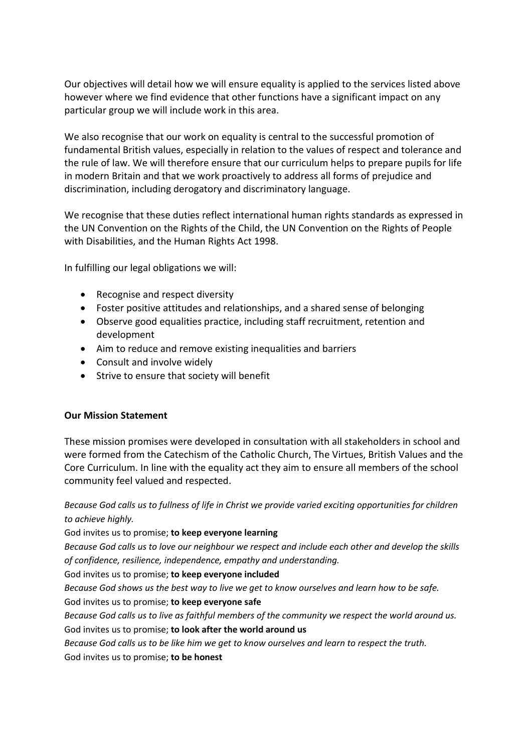Our objectives will detail how we will ensure equality is applied to the services listed above however where we find evidence that other functions have a significant impact on any particular group we will include work in this area.

We also recognise that our work on equality is central to the successful promotion of fundamental British values, especially in relation to the values of respect and tolerance and the rule of law. We will therefore ensure that our curriculum helps to prepare pupils for life in modern Britain and that we work proactively to address all forms of prejudice and discrimination, including derogatory and discriminatory language.

We recognise that these duties reflect international human rights standards as expressed in the UN Convention on the Rights of the Child, the UN Convention on the Rights of People with Disabilities, and the Human Rights Act 1998.

In fulfilling our legal obligations we will:

- Recognise and respect diversity
- Foster positive attitudes and relationships, and a shared sense of belonging
- Observe good equalities practice, including staff recruitment, retention and development
- Aim to reduce and remove existing inequalities and barriers
- Consult and involve widely
- Strive to ensure that society will benefit

## **Our Mission Statement**

These mission promises were developed in consultation with all stakeholders in school and were formed from the Catechism of the Catholic Church, The Virtues, British Values and the Core Curriculum. In line with the equality act they aim to ensure all members of the school community feel valued and respected.

*Because God calls us to fullness of life in Christ we provide varied exciting opportunities for children to achieve highly.* 

God invites us to promise; **to keep everyone learning**

*Because God calls us to love our neighbour we respect and include each other and develop the skills of confidence, resilience, independence, empathy and understanding.*

God invites us to promise; **to keep everyone included**

*Because God shows us the best way to live we get to know ourselves and learn how to be safe.*

## God invites us to promise; **to keep everyone safe**

*Because God calls us to live as faithful members of the community we respect the world around us.* God invites us to promise; **to look after the world around us**

*Because God calls us to be like him we get to know ourselves and learn to respect the truth.*

God invites us to promise; **to be honest**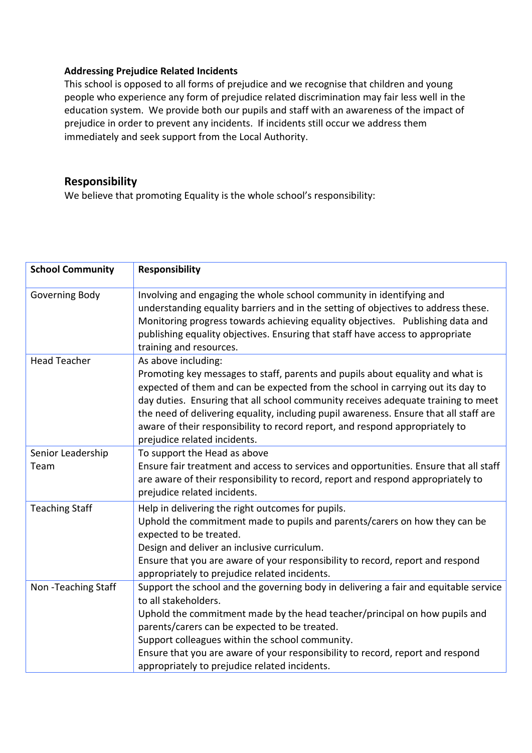## **Addressing Prejudice Related Incidents**

This school is opposed to all forms of prejudice and we recognise that children and young people who experience any form of prejudice related discrimination may fair less well in the education system. We provide both our pupils and staff with an awareness of the impact of prejudice in order to prevent any incidents. If incidents still occur we address them immediately and seek support from the Local Authority.

# **Responsibility**

We believe that promoting Equality is the whole school's responsibility:

| <b>School Community</b>   | <b>Responsibility</b>                                                                                                                                                                                                                                                                                                                                                                                                                                                                  |
|---------------------------|----------------------------------------------------------------------------------------------------------------------------------------------------------------------------------------------------------------------------------------------------------------------------------------------------------------------------------------------------------------------------------------------------------------------------------------------------------------------------------------|
| Governing Body            | Involving and engaging the whole school community in identifying and<br>understanding equality barriers and in the setting of objectives to address these.<br>Monitoring progress towards achieving equality objectives. Publishing data and<br>publishing equality objectives. Ensuring that staff have access to appropriate<br>training and resources.                                                                                                                              |
| <b>Head Teacher</b>       | As above including:<br>Promoting key messages to staff, parents and pupils about equality and what is<br>expected of them and can be expected from the school in carrying out its day to<br>day duties. Ensuring that all school community receives adequate training to meet<br>the need of delivering equality, including pupil awareness. Ensure that all staff are<br>aware of their responsibility to record report, and respond appropriately to<br>prejudice related incidents. |
| Senior Leadership<br>Team | To support the Head as above<br>Ensure fair treatment and access to services and opportunities. Ensure that all staff<br>are aware of their responsibility to record, report and respond appropriately to<br>prejudice related incidents.                                                                                                                                                                                                                                              |
| <b>Teaching Staff</b>     | Help in delivering the right outcomes for pupils.<br>Uphold the commitment made to pupils and parents/carers on how they can be<br>expected to be treated.<br>Design and deliver an inclusive curriculum.<br>Ensure that you are aware of your responsibility to record, report and respond<br>appropriately to prejudice related incidents.                                                                                                                                           |
| Non-Teaching Staff        | Support the school and the governing body in delivering a fair and equitable service<br>to all stakeholders.<br>Uphold the commitment made by the head teacher/principal on how pupils and<br>parents/carers can be expected to be treated.<br>Support colleagues within the school community.<br>Ensure that you are aware of your responsibility to record, report and respond<br>appropriately to prejudice related incidents.                                                      |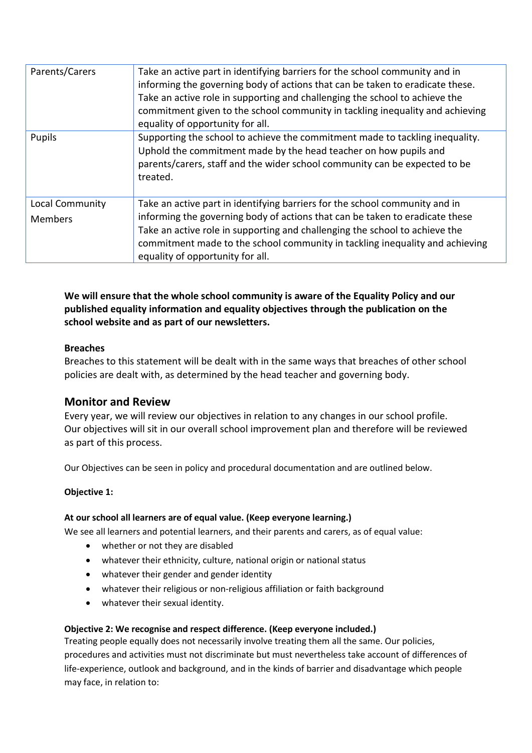| Parents/Carers                    | Take an active part in identifying barriers for the school community and in<br>informing the governing body of actions that can be taken to eradicate these.<br>Take an active role in supporting and challenging the school to achieve the<br>commitment given to the school community in tackling inequality and achieving<br>equality of opportunity for all. |
|-----------------------------------|------------------------------------------------------------------------------------------------------------------------------------------------------------------------------------------------------------------------------------------------------------------------------------------------------------------------------------------------------------------|
| Pupils                            | Supporting the school to achieve the commitment made to tackling inequality.<br>Uphold the commitment made by the head teacher on how pupils and<br>parents/carers, staff and the wider school community can be expected to be<br>treated.                                                                                                                       |
| Local Community<br><b>Members</b> | Take an active part in identifying barriers for the school community and in<br>informing the governing body of actions that can be taken to eradicate these<br>Take an active role in supporting and challenging the school to achieve the<br>commitment made to the school community in tackling inequality and achieving<br>equality of opportunity for all.   |

**We will ensure that the whole school community is aware of the Equality Policy and our published equality information and equality objectives through the publication on the school website and as part of our newsletters.** 

## **Breaches**

Breaches to this statement will be dealt with in the same ways that breaches of other school policies are dealt with, as determined by the head teacher and governing body.

# **Monitor and Review**

Every year, we will review our objectives in relation to any changes in our school profile. Our objectives will sit in our overall school improvement plan and therefore will be reviewed as part of this process.

Our Objectives can be seen in policy and procedural documentation and are outlined below.

#### **Objective 1:**

#### **At our school all learners are of equal value. (Keep everyone learning.)**

We see all learners and potential learners, and their parents and carers, as of equal value:

- whether or not they are disabled
- whatever their ethnicity, culture, national origin or national status
- whatever their gender and gender identity
- whatever their religious or non-religious affiliation or faith background
- whatever their sexual identity.

#### **Objective 2: We recognise and respect difference. (Keep everyone included.)**

Treating people equally does not necessarily involve treating them all the same. Our policies, procedures and activities must not discriminate but must nevertheless take account of differences of life-experience, outlook and background, and in the kinds of barrier and disadvantage which people may face, in relation to: